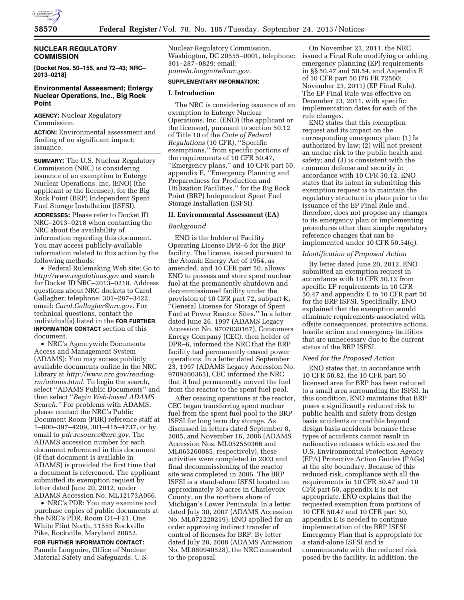

# **NUCLEAR REGULATORY COMMISSION**

**[Docket Nos. 50–155, and 72–43; NRC– 2013–0218]** 

# **Environmental Assessment; Entergy Nuclear Operations, Inc., Big Rock Point**

**AGENCY:** Nuclear Regulatory Commission.

**ACTION:** Environmental assessment and finding of no significant impact; issuance.

**SUMMARY:** The U.S. Nuclear Regulatory Commission (NRC) is considering issuance of an exemption to Entergy Nuclear Operations, Inc. (ENO) (the applicant or the licensee), for the Big Rock Point (BRP) Independent Spent Fuel Storage Installation (ISFSI).

**ADDRESSES:** Please refer to Docket ID NRC–2013–0218 when contacting the NRC about the availability of information regarding this document. You may access publicly-available information related to this action by the following methods:

• Federal Rulemaking Web site: Go to *<http://www.regulations.gov>* and search for Docket ID NRC–2013–0218. Address questions about NRC dockets to Carol Gallagher; telephone: 301–287–3422; email: *[Carol.Gallagher@nrc.gov.](mailto:Carol.Gallagher@nrc.gov)* For technical questions, contact the individual(s) listed in the **FOR FURTHER INFORMATION CONTACT** section of this document.

• NRC's Agencywide Documents Access and Management System (ADAMS): You may access publicly available documents online in the NRC Library at *[http://www.nrc.gov/reading](http://www.nrc.gov/reading-rm/adams.html)[rm/adams.html.](http://www.nrc.gov/reading-rm/adams.html)* To begin the search, select ''ADAMS Public Documents'' and then select ''*Begin Web-based ADAMS Search.''* For problems with ADAMS, please contact the NRC's Public Document Room (PDR) reference staff at 1–800–397–4209, 301–415–4737, or by email to *[pdr.resource@nrc.gov.](mailto:pdr.resource@nrc.gov)* The ADAMS accession number for each document referenced in this document (if that document is available in ADAMS) is provided the first time that a document is referenced. The applicant submitted its exemption request by letter dated June 20, 2012, under ADAMS Accession No. ML12173A066.

• NRC's PDR: You may examine and purchase copies of public documents at the NRC's PDR, Room O1–F21, One White Flint North, 11555 Rockville Pike, Rockville, Maryland 20852.

**FOR FURTHER INFORMATION CONTACT:**  Pamela Longmire, Office of Nuclear Material Safety and Safeguards, U.S. Nuclear Regulatory Commission, Washington, DC 20555–0001, telephone: 301–287–0829; email: *[pamela.longmire@nrc.gov.](mailto:pamela.longmire@nrc.gov)* 

#### **SUPPLEMENTARY INFORMATION:**

### **I. Introduction**

The NRC is considering issuance of an exemption to Entergy Nuclear Operations, Inc. (ENO) (the applicant or the licensee), pursuant to section 50.12 of Title 10 of the *Code of Federal Regulations* (10 CFR), ''Specific exemptions,'' from specific portions of the requirements of 10 CFR 50.47, ''Emergency plans,'' and 10 CFR part 50, appendix E, ''Emergency Planning and Preparedness for Production and Utilization Facilities,'' for the Big Rock Point (BRP) Independent Spent Fuel Storage Installation (ISFSI).

#### **II. Environmental Assessment (EA)**

### *Background*

ENO is the holder of Facility Operating License DPR–6 for the BRP facility. The license, issued pursuant to the Atomic Energy Act of 1954, as amended, and 10 CFR part 50, allows ENO to possess and store spent nuclear fuel at the permanently shutdown and decommissioned facility under the provision of 10 CFR part 72, subpart K, ''General License for Storage of Spent Fuel at Power Reactor Sites.'' In a letter dated June 26, 1997 (ADAMS Legacy Accession No. 9707030167), Consumers Energy Company (CEC), then holder of DPR–6, informed the NRC that the BRP facility had permanently ceased power operations. In a letter dated September 23, 1997 (ADAMS Legacy Accession No. 9709300363), CEC informed the NRC that it had permanently moved the fuel from the reactor to the spent fuel pool.

After ceasing operations at the reactor, CEC began transferring spent nuclear fuel from the spent fuel pool to the BRP ISFSI for long term dry storage. As discussed in letters dated September 8, 2005, and November 16, 2006 (ADAMS Accession Nos. ML052550366 and ML063260085, respectively), these activities were completed in 2003 and final decommissioning of the reactor site was completed in 2006. The BRP ISFSI is a stand-alone ISFSI located on approximately 30 acres in Charlevoix County, on the northern shore of Michigan's Lower Peninsula. In a letter dated July 30, 2007 (ADAMS Accession No. ML072220219), ENO applied for an order approving indirect transfer of control of licenses for BRP. By letter dated July 28, 2008 (ADAMS Accession No. ML080940528), the NRC consented to the proposal.

On November 23, 2011, the NRC issued a Final Rule modifying or adding emergency planning (EP) requirements in §§ 50.47 and 50.54, and Aapendix E of 10 CFR part 50 (76 FR 72560; November 23, 2011) (EP Final Rule). The EP Final Rule was effective on December 23, 2011, with specific implementation dates for each of the rule changes.

ENO states that this exemption request and its impact on the corresponding emergency plan: (1) Is authorized by law; (2) will not present an undue risk to the public health and safety; and (3) is consistent with the common defense and security in accordance with 10 CFR 50.12. ENO states that its intent in submitting this exemption request is to maintain the regulatory structure in place prior to the issuance of the EP Final Rule and, therefore, does not propose any changes to its emergency plan or implementing procedures other than simple regulatory reference changes that can be implemented under 10 CFR 50.54(q).

### *Identification of Proposed Action*

By letter dated June 20, 2012, ENO submitted an exemption request in accordance with 10 CFR 50.12 from specific EP requirements in 10 CFR 50.47 and appendix E to 10 CFR part 50 for the BRP ISFSI. Specifically, ENO explained that the exemption would eliminate requirements associated with offsite consequences, protective actions, hostile action and emergency facilities that are unnecessary due to the current status of the BRP ISFSI.

# *Need for the Proposed Action*

ENO states that, in accordance with 10 CFR 50.82, the 10 CFR part 50 licensed area for BRP has been reduced to a small area surrounding the ISFSI. In this condition, ENO maintains that BRP poses a significantly reduced risk to public health and safety from design basis accidents or credible beyond design basis accidents because these types of accidents cannot result in radioactive releases which exceed the U.S. Environmental Protection Agency (EPA) Protective Action Guides (PAGs) at the site boundary. Because of this reduced risk, compliance with all the requirements in 10 CFR 50.47 and 10 CFR part 50, appendix E is not appropriate. ENO explains that the requested exemption from portions of 10 CFR 50.47 and 10 CFR part 50, appendix E is needed to continue implementation of the BRP ISFSI Emergency Plan that is appropriate for a stand-alone ISFSI and is commensurate with the reduced risk posed by the facility. In addition, the